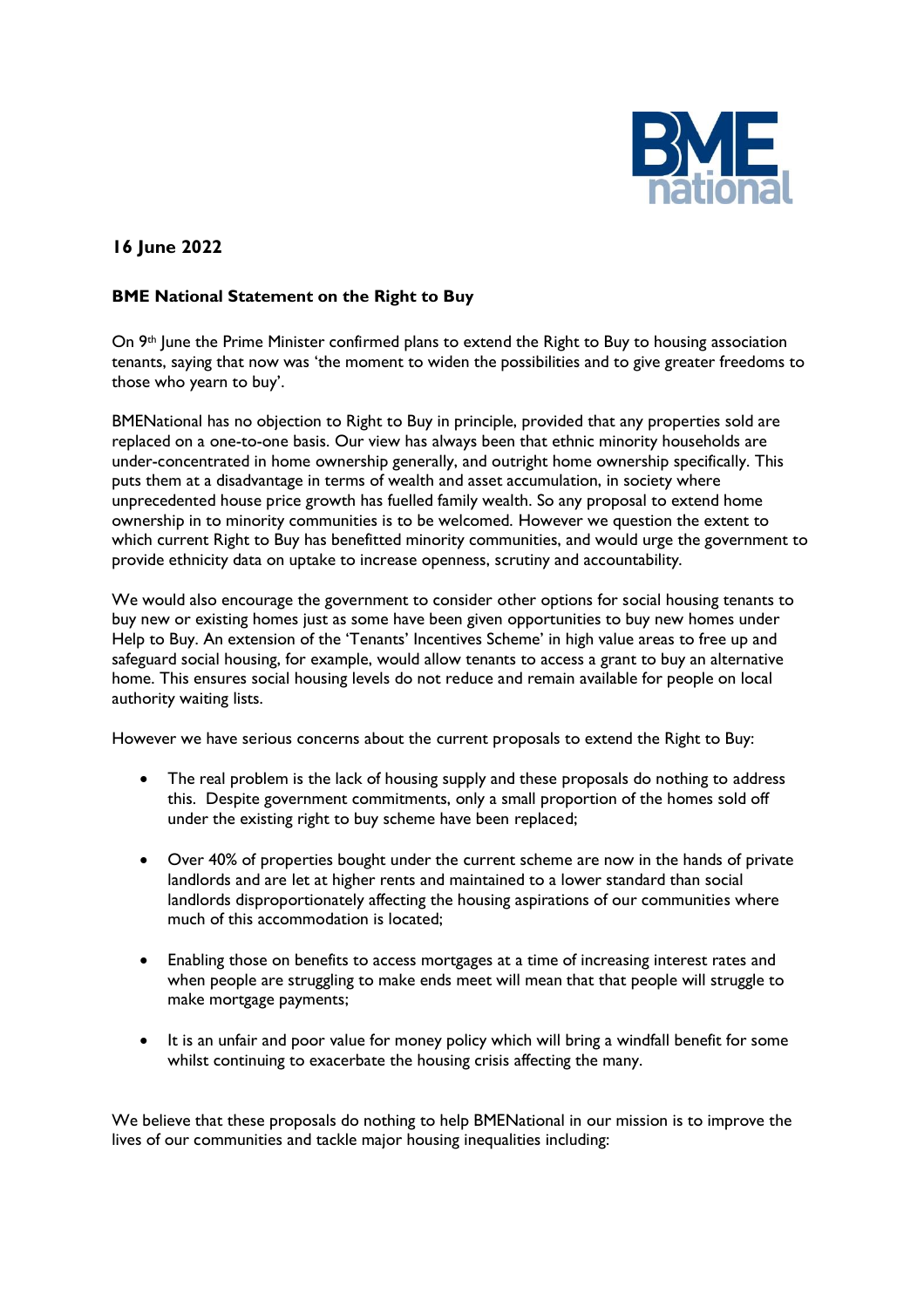

## **16 June 2022**

## **BME National Statement on the Right to Buy**

On 9<sup>th</sup> June the Prime Minister confirmed plans to extend the Right to Buy to housing association tenants, saying that now was 'the moment to widen the possibilities and to give greater freedoms to those who yearn to buy'.

BMENational has no objection to Right to Buy in principle, provided that any properties sold are replaced on a one-to-one basis. Our view has always been that ethnic minority households are under-concentrated in home ownership generally, and outright home ownership specifically. This puts them at a disadvantage in terms of wealth and asset accumulation, in society where unprecedented house price growth has fuelled family wealth. So any proposal to extend home ownership in to minority communities is to be welcomed. However we question the extent to which current Right to Buy has benefitted minority communities, and would urge the government to provide ethnicity data on uptake to increase openness, scrutiny and accountability.

We would also encourage the government to consider other options for social housing tenants to buy new or existing homes just as some have been given opportunities to buy new homes under Help to Buy. An extension of the 'Tenants' Incentives Scheme' in high value areas to free up and safeguard social housing, for example, would allow tenants to access a grant to buy an alternative home. This ensures social housing levels do not reduce and remain available for people on local authority waiting lists.

However we have serious concerns about the current proposals to extend the Right to Buy:

- The real problem is the lack of housing supply and these proposals do nothing to address this. Despite government commitments, only a small proportion of the homes sold off under the existing right to buy scheme have been replaced;
- Over 40% of properties bought under the current scheme are now in the hands of private landlords and are let at higher rents and maintained to a lower standard than social landlords disproportionately affecting the housing aspirations of our communities where much of this accommodation is located;
- Enabling those on benefits to access mortgages at a time of increasing interest rates and when people are struggling to make ends meet will mean that that people will struggle to make mortgage payments;
- It is an unfair and poor value for money policy which will bring a windfall benefit for some whilst continuing to exacerbate the housing crisis affecting the many.

We believe that these proposals do nothing to help BMENational in our mission is to improve the lives of our communities and tackle major housing inequalities including: